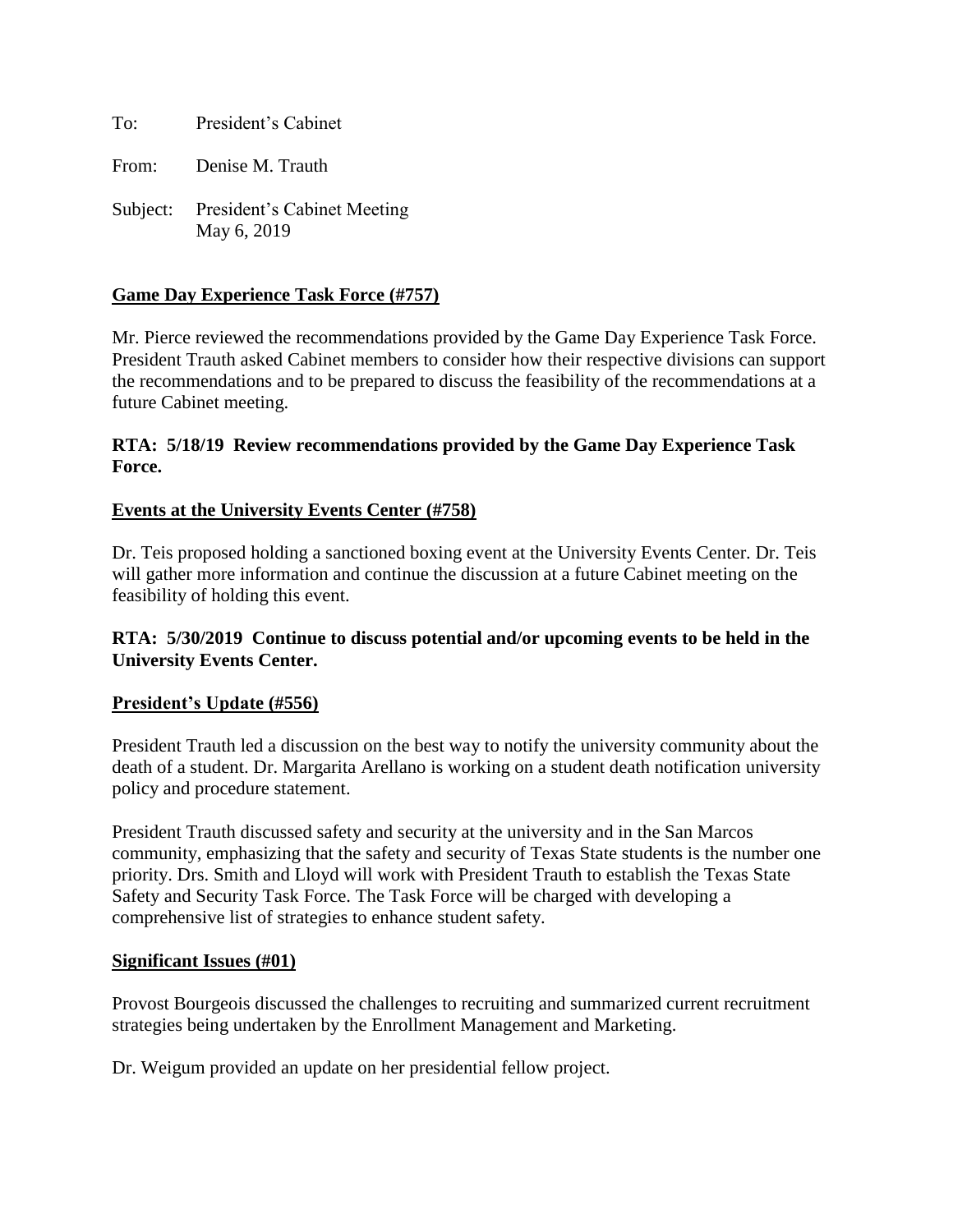To: President's Cabinet

From: Denise M. Trauth

Subject: President's Cabinet Meeting May 6, 2019

## **Game Day Experience Task Force (#757)**

Mr. Pierce reviewed the recommendations provided by the Game Day Experience Task Force. President Trauth asked Cabinet members to consider how their respective divisions can support the recommendations and to be prepared to discuss the feasibility of the recommendations at a future Cabinet meeting.

## **RTA: 5/18/19 Review recommendations provided by the Game Day Experience Task Force.**

## **Events at the University Events Center (#758)**

Dr. Teis proposed holding a sanctioned boxing event at the University Events Center. Dr. Teis will gather more information and continue the discussion at a future Cabinet meeting on the feasibility of holding this event.

## **RTA: 5/30/2019 Continue to discuss potential and/or upcoming events to be held in the University Events Center.**

#### **President's Update (#556)**

President Trauth led a discussion on the best way to notify the university community about the death of a student. Dr. Margarita Arellano is working on a student death notification university policy and procedure statement.

President Trauth discussed safety and security at the university and in the San Marcos community, emphasizing that the safety and security of Texas State students is the number one priority. Drs. Smith and Lloyd will work with President Trauth to establish the Texas State Safety and Security Task Force. The Task Force will be charged with developing a comprehensive list of strategies to enhance student safety.

#### **Significant Issues (#01)**

Provost Bourgeois discussed the challenges to recruiting and summarized current recruitment strategies being undertaken by the Enrollment Management and Marketing.

Dr. Weigum provided an update on her presidential fellow project.